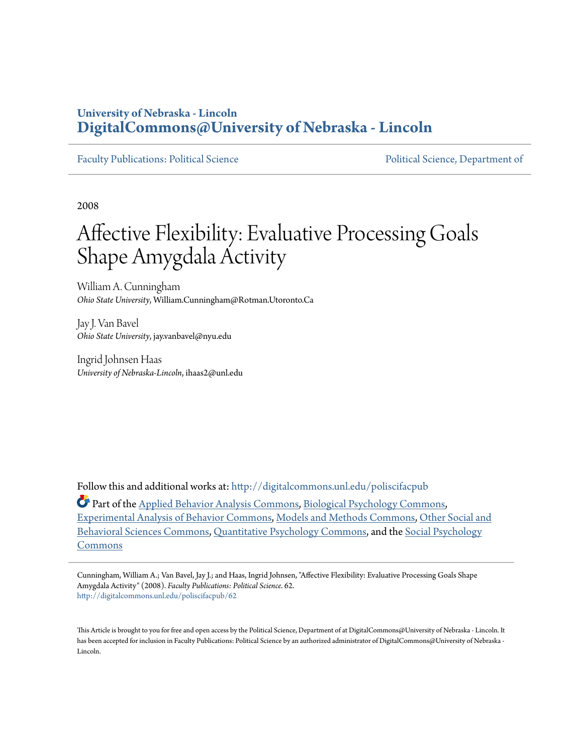# **University of Nebraska - Lincoln [DigitalCommons@University of Nebraska - Lincoln](http://digitalcommons.unl.edu?utm_source=digitalcommons.unl.edu%2Fpoliscifacpub%2F62&utm_medium=PDF&utm_campaign=PDFCoverPages)**

[Faculty Publications: Political Science](http://digitalcommons.unl.edu/poliscifacpub?utm_source=digitalcommons.unl.edu%2Fpoliscifacpub%2F62&utm_medium=PDF&utm_campaign=PDFCoverPages) [Political Science, Department of](http://digitalcommons.unl.edu/politicalscience?utm_source=digitalcommons.unl.edu%2Fpoliscifacpub%2F62&utm_medium=PDF&utm_campaign=PDFCoverPages)

2008

# Affective Flexibility: Evaluative Processing Goals Shape Amygdala Activity

William A. Cunningham *Ohio State University*, William.Cunningham@Rotman.Utoronto.Ca

Jay J. Van Bavel *Ohio State University*, jay.vanbavel@nyu.edu

Ingrid Johnsen Haas *University of Nebraska-Lincoln*, ihaas2@unl.edu

Follow this and additional works at: [http://digitalcommons.unl.edu/poliscifacpub](http://digitalcommons.unl.edu/poliscifacpub?utm_source=digitalcommons.unl.edu%2Fpoliscifacpub%2F62&utm_medium=PDF&utm_campaign=PDFCoverPages)

Part of the [Applied Behavior Analysis Commons](http://network.bepress.com/hgg/discipline/1235?utm_source=digitalcommons.unl.edu%2Fpoliscifacpub%2F62&utm_medium=PDF&utm_campaign=PDFCoverPages), [Biological Psychology Commons,](http://network.bepress.com/hgg/discipline/405?utm_source=digitalcommons.unl.edu%2Fpoliscifacpub%2F62&utm_medium=PDF&utm_campaign=PDFCoverPages) [Experimental Analysis of Behavior Commons](http://network.bepress.com/hgg/discipline/1236?utm_source=digitalcommons.unl.edu%2Fpoliscifacpub%2F62&utm_medium=PDF&utm_campaign=PDFCoverPages), [Models and Methods Commons](http://network.bepress.com/hgg/discipline/390?utm_source=digitalcommons.unl.edu%2Fpoliscifacpub%2F62&utm_medium=PDF&utm_campaign=PDFCoverPages), [Other Social and](http://network.bepress.com/hgg/discipline/437?utm_source=digitalcommons.unl.edu%2Fpoliscifacpub%2F62&utm_medium=PDF&utm_campaign=PDFCoverPages) [Behavioral Sciences Commons,](http://network.bepress.com/hgg/discipline/437?utm_source=digitalcommons.unl.edu%2Fpoliscifacpub%2F62&utm_medium=PDF&utm_campaign=PDFCoverPages) [Quantitative Psychology Commons,](http://network.bepress.com/hgg/discipline/1041?utm_source=digitalcommons.unl.edu%2Fpoliscifacpub%2F62&utm_medium=PDF&utm_campaign=PDFCoverPages) and the [Social Psychology](http://network.bepress.com/hgg/discipline/414?utm_source=digitalcommons.unl.edu%2Fpoliscifacpub%2F62&utm_medium=PDF&utm_campaign=PDFCoverPages) [Commons](http://network.bepress.com/hgg/discipline/414?utm_source=digitalcommons.unl.edu%2Fpoliscifacpub%2F62&utm_medium=PDF&utm_campaign=PDFCoverPages)

Cunningham, William A.; Van Bavel, Jay J.; and Haas, Ingrid Johnsen, "Affective Flexibility: Evaluative Processing Goals Shape Amygdala Activity" (2008). *Faculty Publications: Political Science*. 62. [http://digitalcommons.unl.edu/poliscifacpub/62](http://digitalcommons.unl.edu/poliscifacpub/62?utm_source=digitalcommons.unl.edu%2Fpoliscifacpub%2F62&utm_medium=PDF&utm_campaign=PDFCoverPages)

This Article is brought to you for free and open access by the Political Science, Department of at DigitalCommons@University of Nebraska - Lincoln. It has been accepted for inclusion in Faculty Publications: Political Science by an authorized administrator of DigitalCommons@University of Nebraska -Lincoln.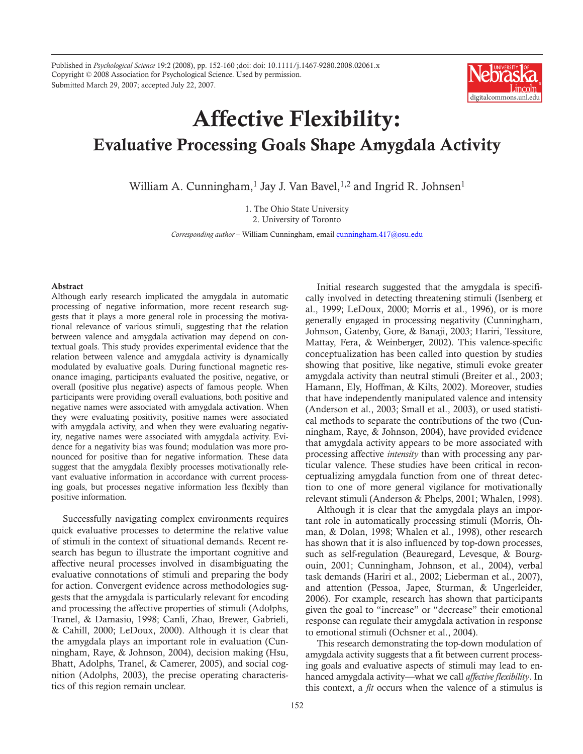Published in *Psychological Science* 19:2 (2008), pp. 152-160 ;doi: doi: 10.1111/j.1467-9280.2008.02061.x Copyright © 2008 Association for Psychological Science. Used by permission. Submitted March 29, 2007; accepted July 22, 2007.



# Affective Flexibility: Evaluative Processing Goals Shape Amygdala Activity

William A. Cunningham,<sup>1</sup> Jay J. Van Bavel,<sup>1,2</sup> and Ingrid R. Johnsen<sup>1</sup>

1. The Ohio State University 2. University of Toronto

*Corresponding author –* William Cunningham, email cunningham.417@osu.edu

#### Abstract

Although early research implicated the amygdala in automatic processing of negative information, more recent research suggests that it plays a more general role in processing the motivational relevance of various stimuli, suggesting that the relation between valence and amygdala activation may depend on contextual goals. This study provides experimental evidence that the relation between valence and amygdala activity is dynamically modulated by evaluative goals. During functional magnetic resonance imaging, participants evaluated the positive, negative, or overall (positive plus negative) aspects of famous people. When participants were providing overall evaluations, both positive and negative names were associated with amygdala activation. When they were evaluating positivity, positive names were associated with amygdala activity, and when they were evaluating negativity, negative names were associated with amygdala activity. Evidence for a negativity bias was found; modulation was more pronounced for positive than for negative information. These data suggest that the amygdala flexibly processes motivationally relevant evaluative information in accordance with current processing goals, but processes negative information less flexibly than positive information.

Successfully navigating complex environments requires quick evaluative processes to determine the relative value of stimuli in the context of situational demands. Recent research has begun to illustrate the important cognitive and affective neural processes involved in disambiguating the evaluative connotations of stimuli and preparing the body for action. Convergent evidence across methodologies suggests that the amygdala is particularly relevant for encoding and processing the affective properties of stimuli (Adolphs, Tranel, & Damasio, 1998; Canli, Zhao, Brewer, Gabrieli, & Cahill, 2000; LeDoux, 2000). Although it is clear that the amygdala plays an important role in evaluation (Cunningham, Raye, & Johnson, 2004), decision making (Hsu, Bhatt, Adolphs, Tranel, & Camerer, 2005), and social cognition (Adolphs, 2003), the precise operating characteristics of this region remain unclear.

Initial research suggested that the amygdala is specifically involved in detecting threatening stimuli (Isenberg et al., 1999; LeDoux, 2000; Morris et al., 1996), or is more generally engaged in processing negativity (Cunningham, Johnson, Gatenby, Gore, & Banaji, 2003; Hariri, Tessitore, Mattay, Fera, & Weinberger, 2002). This valence-specific conceptualization has been called into question by studies showing that positive, like negative, stimuli evoke greater amygdala activity than neutral stimuli (Breiter et al., 2003; Hamann, Ely, Hoffman, & Kilts, 2002). Moreover, studies that have independently manipulated valence and intensity (Anderson et al., 2003; Small et al., 2003), or used statistical methods to separate the contributions of the two (Cunningham, Raye, & Johnson, 2004), have provided evidence that amygdala activity appears to be more associated with processing affective *intensity* than with processing any particular valence. These studies have been critical in reconceptualizing amygdala function from one of threat detection to one of more general vigilance for motivationally relevant stimuli (Anderson & Phelps, 2001; Whalen, 1998).

Although it is clear that the amygdala plays an important role in automatically processing stimuli (Morris, Öhman, & Dolan, 1998; Whalen et al., 1998), other research has shown that it is also influenced by top-down processes, such as self-regulation (Beauregard, Levesque, & Bourgouin, 2001; Cunningham, Johnson, et al., 2004), verbal task demands (Hariri et al., 2002; Lieberman et al., 2007), and attention (Pessoa, Japee, Sturman, & Ungerleider, 2006). For example, research has shown that participants given the goal to "increase" or "decrease" their emotional response can regulate their amygdala activation in response to emotional stimuli (Ochsner et al., 2004).

This research demonstrating the top-down modulation of amygdala activity suggests that a fit between current processing goals and evaluative aspects of stimuli may lead to enhanced amygdala activity—what we call *affective flexibility*. In this context, a *fit* occurs when the valence of a stimulus is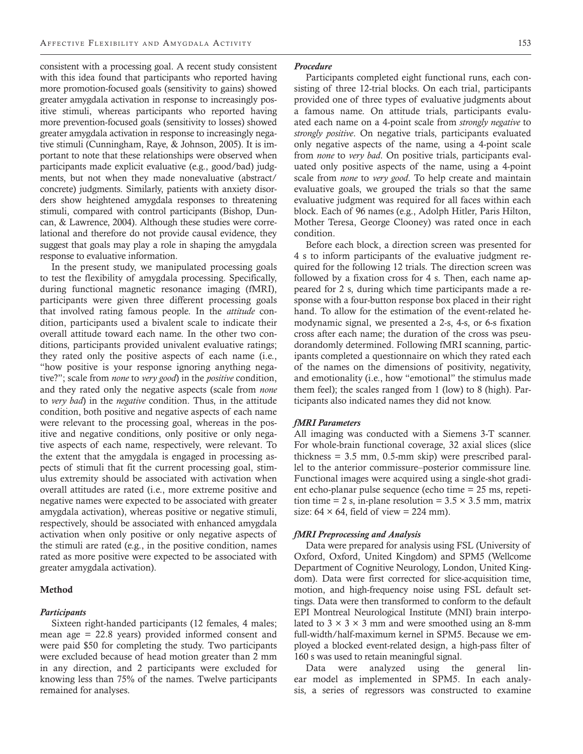consistent with a processing goal. A recent study consistent with this idea found that participants who reported having more promotion-focused goals (sensitivity to gains) showed greater amygdala activation in response to increasingly positive stimuli, whereas participants who reported having more prevention-focused goals (sensitivity to losses) showed greater amygdala activation in response to increasingly negative stimuli (Cunningham, Raye, & Johnson, 2005). It is important to note that these relationships were observed when participants made explicit evaluative (e.g., good/bad) judgments, but not when they made nonevaluative (abstract/ concrete) judgments. Similarly, patients with anxiety disorders show heightened amygdala responses to threatening stimuli, compared with control participants (Bishop, Duncan, & Lawrence, 2004). Although these studies were correlational and therefore do not provide causal evidence, they suggest that goals may play a role in shaping the amygdala response to evaluative information.

In the present study, we manipulated processing goals to test the flexibility of amygdala processing. Specifically, during functional magnetic resonance imaging (fMRI), participants were given three different processing goals that involved rating famous people. In the *attitude* condition, participants used a bivalent scale to indicate their overall attitude toward each name. In the other two conditions, participants provided univalent evaluative ratings; they rated only the positive aspects of each name (i.e., "how positive is your response ignoring anything negative?"; scale from *none* to *very good*) in the *positive* condition, and they rated only the negative aspects (scale from *none* to *very bad*) in the *negative* condition. Thus, in the attitude condition, both positive and negative aspects of each name were relevant to the processing goal, whereas in the positive and negative conditions, only positive or only negative aspects of each name, respectively, were relevant. To the extent that the amygdala is engaged in processing aspects of stimuli that fit the current processing goal, stimulus extremity should be associated with activation when overall attitudes are rated (i.e., more extreme positive and negative names were expected to be associated with greater amygdala activation), whereas positive or negative stimuli, respectively, should be associated with enhanced amygdala activation when only positive or only negative aspects of the stimuli are rated (e.g., in the positive condition, names rated as more positive were expected to be associated with greater amygdala activation).

# Method

#### *Participants*

Sixteen right-handed participants (12 females, 4 males; mean age = 22.8 years) provided informed consent and were paid \$50 for completing the study. Two participants were excluded because of head motion greater than 2 mm in any direction, and 2 participants were excluded for knowing less than 75% of the names. Twelve participants remained for analyses.

#### *Procedure*

Participants completed eight functional runs, each consisting of three 12-trial blocks. On each trial, participants provided one of three types of evaluative judgments about a famous name. On attitude trials, participants evaluated each name on a 4-point scale from *strongly negative* to *strongly positive*. On negative trials, participants evaluated only negative aspects of the name, using a 4-point scale from *none* to *very bad*. On positive trials, participants evaluated only positive aspects of the name, using a 4-point scale from *none* to *very good*. To help create and maintain evaluative goals, we grouped the trials so that the same evaluative judgment was required for all faces within each block. Each of 96 names (e.g., Adolph Hitler, Paris Hilton, Mother Teresa, George Clooney) was rated once in each condition.

Before each block, a direction screen was presented for 4 s to inform participants of the evaluative judgment required for the following 12 trials. The direction screen was followed by a fixation cross for 4 s. Then, each name appeared for 2 s, during which time participants made a response with a four-button response box placed in their right hand. To allow for the estimation of the event-related hemodynamic signal, we presented a 2-s, 4-s, or 6-s fixation cross after each name; the duration of the cross was pseudorandomly determined. Following fMRI scanning, participants completed a questionnaire on which they rated each of the names on the dimensions of positivity, negativity, and emotionality (i.e., how "emotional" the stimulus made them feel); the scales ranged from 1 (low) to 8 (high). Participants also indicated names they did not know.

#### *fMRI Parameters*

All imaging was conducted with a Siemens 3-T scanner. For whole-brain functional coverage, 32 axial slices (slice thickness = 3.5 mm, 0.5-mm skip) were prescribed parallel to the anterior commissure–posterior commissure line. Functional images were acquired using a single-shot gradient echo-planar pulse sequence (echo time = 25 ms, repetition time = 2 s, in-plane resolution =  $3.5 \times 3.5$  mm, matrix size:  $64 \times 64$ , field of view = 224 mm).

#### *fMRI Preprocessing and Analysis*

Data were prepared for analysis using FSL (University of Oxford, Oxford, United Kingdom) and SPM5 (Wellcome Department of Cognitive Neurology, London, United Kingdom). Data were first corrected for slice-acquisition time, motion, and high-frequency noise using FSL default settings. Data were then transformed to conform to the default EPI Montreal Neurological Institute (MNI) brain interpolated to  $3 \times 3 \times 3$  mm and were smoothed using an 8-mm full-width/half-maximum kernel in SPM5. Because we employed a blocked event-related design, a high-pass filter of 160 s was used to retain meaningful signal.

Data were analyzed using the general linear model as implemented in SPM5. In each analysis, a series of regressors was constructed to examine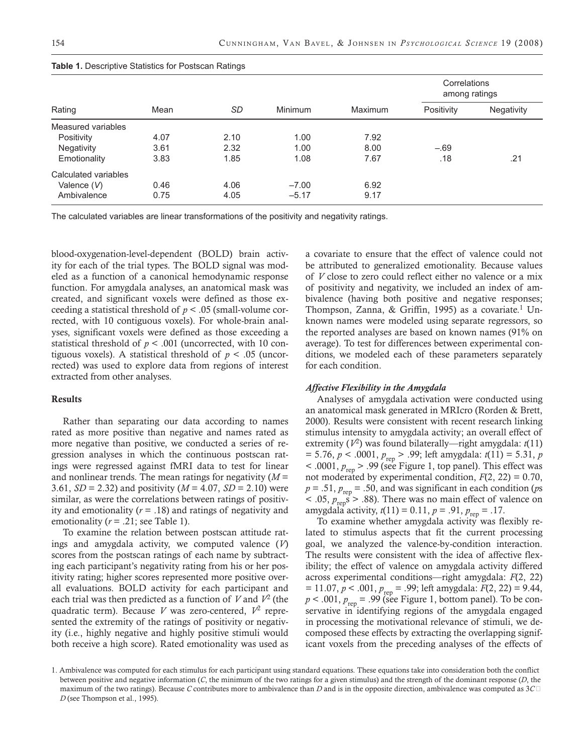| Rating               | Mean | SD   | Minimum | <b>Maximum</b> | Correlations<br>among ratings |                   |  |
|----------------------|------|------|---------|----------------|-------------------------------|-------------------|--|
|                      |      |      |         |                | Positivity                    | <b>Negativity</b> |  |
| Measured variables   |      |      |         |                |                               |                   |  |
| Positivity           | 4.07 | 2.10 | 1.00    | 7.92           |                               |                   |  |
| <b>Negativity</b>    | 3.61 | 2.32 | 1.00    | 8.00           | $-.69$                        |                   |  |
| Emotionality         | 3.83 | 1.85 | 1.08    | 7.67           | .18                           | .21               |  |
| Calculated variables |      |      |         |                |                               |                   |  |
| Valence (V)          | 0.46 | 4.06 | $-7.00$ | 6.92           |                               |                   |  |
| Ambivalence          | 0.75 | 4.05 | $-5.17$ | 9.17           |                               |                   |  |

|  | <b>Table 1. Descriptive Statistics for Postscan Ratings</b> |  |  |  |
|--|-------------------------------------------------------------|--|--|--|
|--|-------------------------------------------------------------|--|--|--|

The calculated variables are linear transformations of the positivity and negativity ratings.

blood-oxygenation-level-dependent (BOLD) brain activity for each of the trial types. The BOLD signal was modeled as a function of a canonical hemodynamic response function. For amygdala analyses, an anatomical mask was created, and significant voxels were defined as those exceeding a statistical threshold of *p* < .05 (small-volume corrected, with 10 contiguous voxels). For whole-brain analyses, significant voxels were defined as those exceeding a statistical threshold of  $p < .001$  (uncorrected, with 10 contiguous voxels). A statistical threshold of  $p < .05$  (uncorrected) was used to explore data from regions of interest extracted from other analyses.

# Results

Rather than separating our data according to names rated as more positive than negative and names rated as more negative than positive, we conducted a series of regression analyses in which the continuous postscan ratings were regressed against fMRI data to test for linear and nonlinear trends. The mean ratings for negativity (*M* = 3.61, *SD* = 2.32) and positivity (*M* = 4.07, *SD* = 2.10) were similar, as were the correlations between ratings of positivity and emotionality (*r* = .18) and ratings of negativity and emotionality ( $r = .21$ ; see Table 1).

To examine the relation between postscan attitude ratings and amygdala activity, we computed valence (*V*) scores from the postscan ratings of each name by subtracting each participant's negativity rating from his or her positivity rating; higher scores represented more positive overall evaluations. BOLD activity for each participant and each trial was then predicted as a function of  $V$  and  $V^2$  (the quadratic term). Because *V* was zero-centered,  $V^2$  represented the extremity of the ratings of positivity or negativity (i.e., highly negative and highly positive stimuli would both receive a high score). Rated emotionality was used as a covariate to ensure that the effect of valence could not be attributed to generalized emotionality. Because values of *V* close to zero could reflect either no valence or a mix of positivity and negativity, we included an index of ambivalence (having both positive and negative responses; Thompson, Zanna, & Griffin, 1995) as a covariate.<sup>1</sup> Unknown names were modeled using separate regressors, so the reported analyses are based on known names (91% on average). To test for differences between experimental conditions, we modeled each of these parameters separately for each condition.

# *Affective Flexibility in the Amygdala*

Analyses of amygdala activation were conducted using an anatomical mask generated in MRIcro (Rorden & Brett, 2000). Results were consistent with recent research linking stimulus intensity to amygdala activity; an overall effect of extremity  $(V^2)$  was found bilaterally—right amygdala:  $t(11)$ = 5.76, *p* < .0001, *p*rep > .99; left amygdala: *t*(11) = 5.31, *p*  $<$  .0001,  $p_{\text{rep}}$  > .99 (see Figure 1, top panel). This effect was not moderated by experimental condition,  $F(2, 22) = 0.70$ ,  $p = .51$ ,  $p_{\text{ren}} = .50$ , and was significant in each condition (*ps*  $<$  .05,  $p_{\text{rep}}\dot{s}$  > .88). There was no main effect of valence on amygdala activity,  $t(11) = 0.11$ ,  $p = .91$ ,  $p_{\text{rep}} = .17$ .

To examine whether amygdala activity was flexibly related to stimulus aspects that fit the current processing goal, we analyzed the valence-by-condition interaction. The results were consistent with the idea of affective flexibility; the effect of valence on amygdala activity differed across experimental conditions—right amygdala: *F*(2, 22)  $= 11.07, p < .001, p_{rep} = .99$ ; left amygdala: *F*(2, 22) = 9.44,  $p < .001$ ,  $p_{\text{rep}} = .99$  (see Figure 1, bottom panel). To be conservative in identifying regions of the amygdala engaged in processing the motivational relevance of stimuli, we decomposed these effects by extracting the overlapping significant voxels from the preceding analyses of the effects of

<sup>1.</sup> Ambivalence was computed for each stimulus for each participant using standard equations. These equations take into consideration both the conflict between positive and negative information (*C*, the minimum of the two ratings for a given stimulus) and the strength of the dominant response (*D*, the maximum of the two ratings). Because *C* contributes more to ambivalence than *D* and is in the opposite direction, ambivalence was computed as 3*C* − *D* (see Thompson et al., 1995).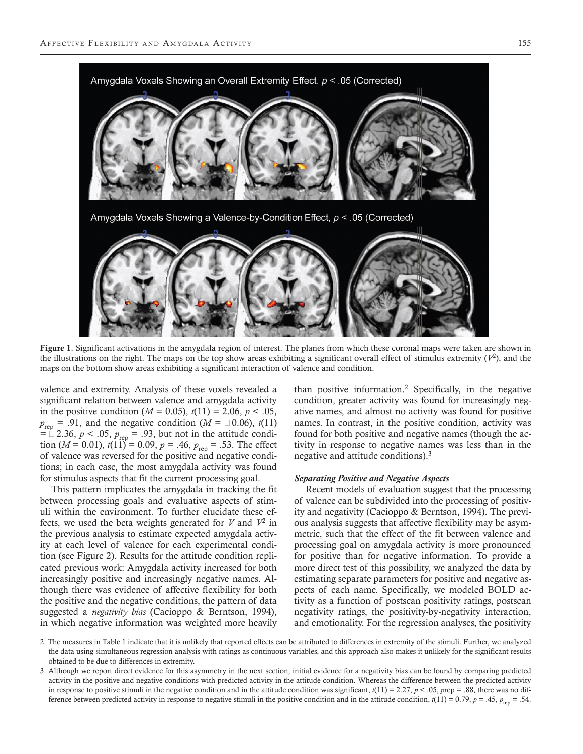

Figure 1. Significant activations in the amygdala region of interest. The planes from which these coronal maps were taken are shown in the illustrations on the right. The maps on the top show areas exhibiting a significant overall effect of stimulus extremity  $(V^2)$ , and the maps on the bottom show areas exhibiting a significant interaction of valence and condition.

valence and extremity. Analysis of these voxels revealed a significant relation between valence and amygdala activity in the positive condition ( $M = 0.05$ ),  $t(11) = 2.06$ ,  $p < .05$ ,  $p_{\text{rep}} = .91$ , and the negative condition ( $M = \square 0.06$ ), *t*(11)  $=$   $\ln 2.36$ ,  $p < .05$ ,  $p_{\text{rep}} = .93$ , but not in the attitude condition (*M* = 0.01),  $t(11) = 0.09$ ,  $p = .46$ ,  $p_{rep} = .53$ . The effect of valence was reversed for the positive and negative conditions; in each case, the most amygdala activity was found for stimulus aspects that fit the current processing goal.

This pattern implicates the amygdala in tracking the fit between processing goals and evaluative aspects of stimuli within the environment. To further elucidate these effects, we used the beta weights generated for *V* and *V*2 in the previous analysis to estimate expected amygdala activity at each level of valence for each experimental condition (see Figure 2). Results for the attitude condition replicated previous work: Amygdala activity increased for both increasingly positive and increasingly negative names. Although there was evidence of affective flexibility for both the positive and the negative conditions, the pattern of data suggested a *negativity bias* (Cacioppo & Berntson, 1994), in which negative information was weighted more heavily

than positive information.2 Specifically, in the negative condition, greater activity was found for increasingly negative names, and almost no activity was found for positive names. In contrast, in the positive condition, activity was found for both positive and negative names (though the activity in response to negative names was less than in the negative and attitude conditions). $3$ 

# *Separating Positive and Negative Aspects*

Recent models of evaluation suggest that the processing of valence can be subdivided into the processing of positivity and negativity (Cacioppo & Berntson, 1994). The previous analysis suggests that affective flexibility may be asymmetric, such that the effect of the fit between valence and processing goal on amygdala activity is more pronounced for positive than for negative information. To provide a more direct test of this possibility, we analyzed the data by estimating separate parameters for positive and negative aspects of each name. Specifically, we modeled BOLD activity as a function of postscan positivity ratings, postscan negativity ratings, the positivity-by-negativity interaction, and emotionality. For the regression analyses, the positivity

2. The measures in Table 1 indicate that it is unlikely that reported effects can be attributed to differences in extremity of the stimuli. Further, we analyzed the data using simultaneous regression analysis with ratings as continuous variables, and this approach also makes it unlikely for the significant results obtained to be due to differences in extremity.

3. Although we report direct evidence for this asymmetry in the next section, initial evidence for a negativity bias can be found by comparing predicted activity in the positive and negative conditions with predicted activity in the attitude condition. Whereas the difference between the predicted activity in response to positive stimuli in the negative condition and in the attitude condition was significant,  $t(11) = 2.27$ ,  $p < .05$ ,  $prep = .88$ , there was no difference between predicted activity in response to negative stimuli in the positive condition and in the attitude condition,  $t(11) = 0.79$ ,  $p = .45$ ,  $p_{\text{ren}} = .54$ .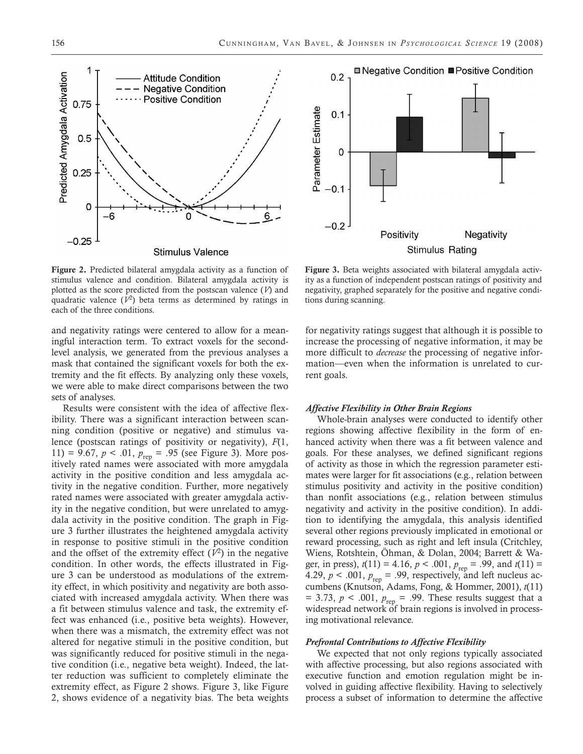

Figure 2. Predicted bilateral amygdala activity as a function of stimulus valence and condition. Bilateral amygdala activity is plotted as the score predicted from the postscan valence (*V*) and quadratic valence  $(V^2)$  beta terms as determined by ratings in each of the three conditions.

and negativity ratings were centered to allow for a meaningful interaction term. To extract voxels for the secondlevel analysis, we generated from the previous analyses a mask that contained the significant voxels for both the extremity and the fit effects. By analyzing only these voxels, we were able to make direct comparisons between the two sets of analyses.

Results were consistent with the idea of affective flexibility. There was a significant interaction between scanning condition (positive or negative) and stimulus valence (postscan ratings of positivity or negativity), *F*(1, 11) = 9.67,  $p < .01$ ,  $p_{\text{rep}} = .95$  (see Figure 3). More positively rated names were associated with more amygdala activity in the positive condition and less amygdala activity in the negative condition. Further, more negatively rated names were associated with greater amygdala activity in the negative condition, but were unrelated to amygdala activity in the positive condition. The graph in Figure 3 further illustrates the heightened amygdala activity in response to positive stimuli in the positive condition and the offset of the extremity effect  $(V^2)$  in the negative condition. In other words, the effects illustrated in Figure 3 can be understood as modulations of the extremity effect, in which positivity and negativity are both associated with increased amygdala activity. When there was a fit between stimulus valence and task, the extremity effect was enhanced (i.e., positive beta weights). However, when there was a mismatch, the extremity effect was not altered for negative stimuli in the positive condition, but was significantly reduced for positive stimuli in the negative condition (i.e., negative beta weight). Indeed, the latter reduction was sufficient to completely eliminate the extremity effect, as Figure 2 shows. Figure 3, like Figure 2, shows evidence of a negativity bias. The beta weights



Figure 3. Beta weights associated with bilateral amygdala activity as a function of independent postscan ratings of positivity and negativity, graphed separately for the positive and negative conditions during scanning.

for negativity ratings suggest that although it is possible to increase the processing of negative information, it may be more difficult to *decrease* the processing of negative information—even when the information is unrelated to current goals.

# *Affective Flexibility in Other Brain Regions*

Whole-brain analyses were conducted to identify other regions showing affective flexibility in the form of enhanced activity when there was a fit between valence and goals. For these analyses, we defined significant regions of activity as those in which the regression parameter estimates were larger for fit associations (e.g., relation between stimulus positivity and activity in the positive condition) than nonfit associations (e.g., relation between stimulus negativity and activity in the positive condition). In addition to identifying the amygdala, this analysis identified several other regions previously implicated in emotional or reward processing, such as right and left insula (Critchley, Wiens, Rotshtein, Öhman, & Dolan, 2004; Barrett & Wager, in press),  $t(11) = 4.16$ ,  $p < .001$ ,  $p_{\text{rep}} = .99$ , and  $t(11) =$ 4.29,  $p < .001$ ,  $p_{\text{rep}} = .99$ , respectively, and left nucleus accumbens (Knutson, Adams, Fong, & Hommer, 2001), *t*(11)  $=$  3.73,  $p$  < .001,  $p_{\text{rep}}$  = .99. These results suggest that a widespread network of brain regions is involved in processing motivational relevance.

# *Prefrontal Contributions to Affective Flexibility*

We expected that not only regions typically associated with affective processing, but also regions associated with executive function and emotion regulation might be involved in guiding affective flexibility. Having to selectively process a subset of information to determine the affective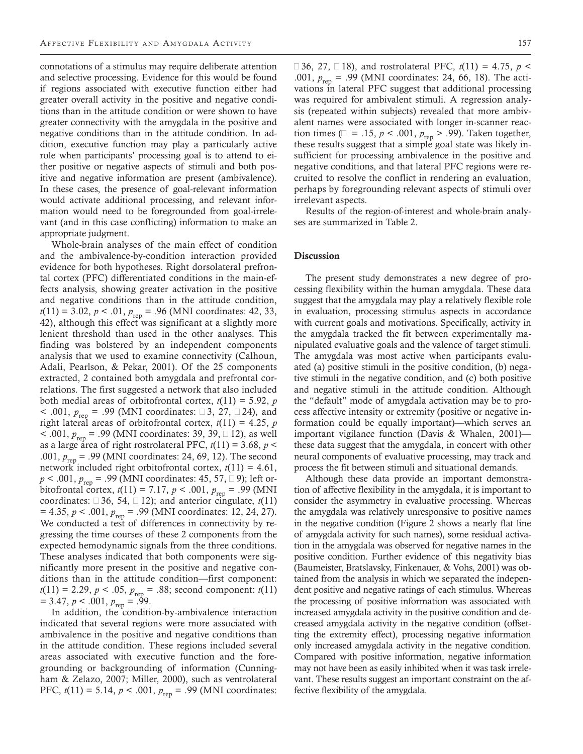connotations of a stimulus may require deliberate attention and selective processing. Evidence for this would be found if regions associated with executive function either had greater overall activity in the positive and negative conditions than in the attitude condition or were shown to have greater connectivity with the amygdala in the positive and negative conditions than in the attitude condition. In addition, executive function may play a particularly active role when participants' processing goal is to attend to either positive or negative aspects of stimuli and both positive and negative information are present (ambivalence). In these cases, the presence of goal-relevant information would activate additional processing, and relevant information would need to be foregrounded from goal-irrelevant (and in this case conflicting) information to make an appropriate judgment.

Whole-brain analyses of the main effect of condition and the ambivalence-by-condition interaction provided evidence for both hypotheses. Right dorsolateral prefrontal cortex (PFC) differentiated conditions in the main-effects analysis, showing greater activation in the positive and negative conditions than in the attitude condition,  $t(11) = 3.02, p < .01, p_{\text{rep}} = .96$  (MNI coordinates: 42, 33, 42), although this effect was significant at a slightly more lenient threshold than used in the other analyses. This finding was bolstered by an independent components analysis that we used to examine connectivity (Calhoun, Adali, Pearlson, & Pekar, 2001). Of the 25 components extracted, 2 contained both amygdala and prefrontal correlations. The first suggested a network that also included both medial areas of orbitofrontal cortex,  $t(11) = 5.92$ ,  $p$ < .001,  $p_{\text{rep}}$  = .99 (MNI coordinates: □3, 27, □24), and right lateral areas of orbitofrontal cortex,  $t(11) = 4.25$ ,  $p$ < .001, *p*<sub>rep</sub> = .99 (MNI coordinates: 39, 39, □ 12), as well as a large area of right rostrolateral PFC,  $t(11) = 3.68$ ,  $p <$ .001,  $p_{\text{rep}}$  = .99 (MNI coordinates: 24, 69, 12). The second network included right orbitofrontal cortex,  $t(11) = 4.61$ , *p* < .001, *p*<sub>rep</sub> = .99 (MNI coordinates: 45, 57, □ 9); left orbitofrontal cortex,  $t(11) = 7.17$ ,  $p < .001$ ,  $p_{\text{rep}} = .99$  (MNI coordinates:  $\Box 36$ , 54,  $\Box 12$ ); and anterior cingulate, *t*(11)  $= 4.35, p < .001, p_{\text{rep}} = .99$  (MNI coordinates: 12, 24, 27). We conducted a test of differences in connectivity by regressing the time courses of these 2 components from the expected hemodynamic signals from the three conditions. These analyses indicated that both components were significantly more present in the positive and negative conditions than in the attitude condition—first component:  $t(11) = 2.29, p < .05, p_{rep} = .88$ ; second component:  $t(11)$  $= 3.47, p < .001, p_{rep} = .99.$ 

In addition, the condition-by-ambivalence interaction indicated that several regions were more associated with ambivalence in the positive and negative conditions than in the attitude condition. These regions included several areas associated with executive function and the foregrounding or backgrounding of information (Cunningham & Zelazo, 2007; Miller, 2000), such as ventrolateral PFC,  $t(11) = 5.14$ ,  $p < .001$ ,  $p_{\text{ren}} = .99$  (MNI coordinates: −36, 27, −18), and rostrolateral PFC, *t*(11) = 4.75, *p* < .001,  $p_{\text{rep}}$  = .99 (MNI coordinates: 24, 66, 18). The activations in lateral PFC suggest that additional processing was required for ambivalent stimuli. A regression analysis (repeated within subjects) revealed that more ambivalent names were associated with longer in-scanner reaction times ( $\Box = .15$ ,  $p < .001$ ,  $p_{rep} > .99$ ). Taken together, these results suggest that a simple goal state was likely insufficient for processing ambivalence in the positive and negative conditions, and that lateral PFC regions were recruited to resolve the conflict in rendering an evaluation, perhaps by foregrounding relevant aspects of stimuli over irrelevant aspects.

Results of the region-of-interest and whole-brain analyses are summarized in Table 2.

# **Discussion**

The present study demonstrates a new degree of processing flexibility within the human amygdala. These data suggest that the amygdala may play a relatively flexible role in evaluation, processing stimulus aspects in accordance with current goals and motivations. Specifically, activity in the amygdala tracked the fit between experimentally manipulated evaluative goals and the valence of target stimuli. The amygdala was most active when participants evaluated (a) positive stimuli in the positive condition, (b) negative stimuli in the negative condition, and (c) both positive and negative stimuli in the attitude condition. Although the "default" mode of amygdala activation may be to process affective intensity or extremity (positive or negative information could be equally important)—which serves an important vigilance function (Davis & Whalen, 2001) these data suggest that the amygdala, in concert with other neural components of evaluative processing, may track and process the fit between stimuli and situational demands.

Although these data provide an important demonstration of affective flexibility in the amygdala, it is important to consider the asymmetry in evaluative processing. Whereas the amygdala was relatively unresponsive to positive names in the negative condition (Figure 2 shows a nearly flat line of amygdala activity for such names), some residual activation in the amygdala was observed for negative names in the positive condition. Further evidence of this negativity bias (Baumeister, Bratslavsky, Finkenauer, & Vohs, 2001) was obtained from the analysis in which we separated the independent positive and negative ratings of each stimulus. Whereas the processing of positive information was associated with increased amygdala activity in the positive condition and decreased amygdala activity in the negative condition (offsetting the extremity effect), processing negative information only increased amygdala activity in the negative condition. Compared with positive information, negative information may not have been as easily inhibited when it was task irrelevant. These results suggest an important constraint on the affective flexibility of the amygdala.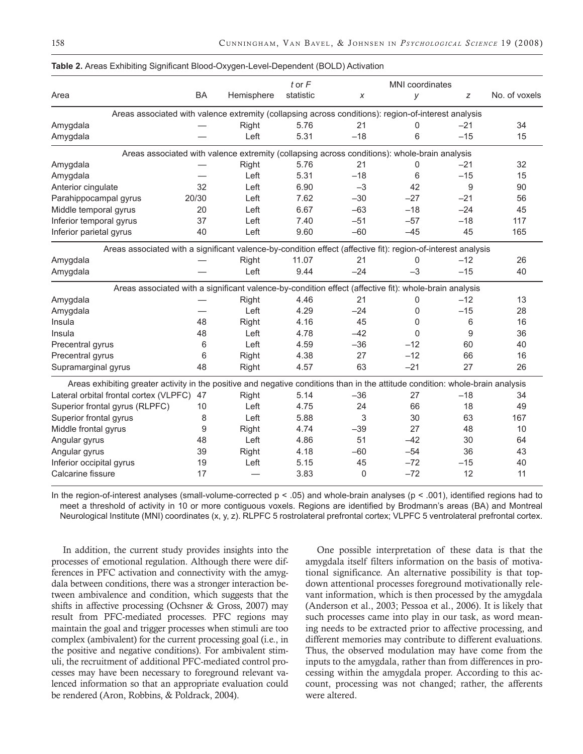|                                                                                                                                |           |                                                                                              | $t$ or $F$ |       | <b>MNI</b> coordinates |       |               |
|--------------------------------------------------------------------------------------------------------------------------------|-----------|----------------------------------------------------------------------------------------------|------------|-------|------------------------|-------|---------------|
| Area                                                                                                                           | <b>BA</b> | Hemisphere                                                                                   | statistic  | X     | у                      | z     | No. of voxels |
| Areas associated with valence extremity (collapsing across conditions): region-of-interest analysis                            |           |                                                                                              |            |       |                        |       |               |
| Amygdala                                                                                                                       |           | Right                                                                                        | 5.76       | 21    | 0                      | $-21$ | 34            |
| Amygdala                                                                                                                       |           | Left                                                                                         | 5.31       | $-18$ | 6                      | $-15$ | 15            |
|                                                                                                                                |           | Areas associated with valence extremity (collapsing across conditions): whole-brain analysis |            |       |                        |       |               |
| Amygdala                                                                                                                       |           | Right                                                                                        | 5.76       | 21    | 0                      | $-21$ | 32            |
| Amygdala                                                                                                                       |           | Left                                                                                         | 5.31       | $-18$ | 6                      | $-15$ | 15            |
| Anterior cingulate                                                                                                             | 32        | Left                                                                                         | 6.90       | $-3$  | 42                     | 9     | 90            |
| Parahippocampal gyrus                                                                                                          | 20/30     | Left                                                                                         | 7.62       | $-30$ | $-27$                  | $-21$ | 56            |
| Middle temporal gyrus                                                                                                          | 20        | Left                                                                                         | 6.67       | $-63$ | $-18$                  | $-24$ | 45            |
| Inferior temporal gyrus                                                                                                        | 37        | Left                                                                                         | 7.40       | $-51$ | $-57$                  | $-18$ | 117           |
| Inferior parietal gyrus                                                                                                        | 40        | Left                                                                                         | 9.60       | $-60$ | $-45$                  | 45    | 165           |
| Areas associated with a significant valence-by-condition effect (affective fit): region-of-interest analysis                   |           |                                                                                              |            |       |                        |       |               |
| Amygdala                                                                                                                       |           | Right                                                                                        | 11.07      | 21    | 0                      | $-12$ | 26            |
| Amygdala                                                                                                                       |           | Left                                                                                         | 9.44       | $-24$ | $-3$                   | $-15$ | 40            |
| Areas associated with a significant valence-by-condition effect (affective fit): whole-brain analysis                          |           |                                                                                              |            |       |                        |       |               |
| Amygdala                                                                                                                       |           | Right                                                                                        | 4.46       | 21    | 0                      | $-12$ | 13            |
| Amygdala                                                                                                                       |           | Left                                                                                         | 4.29       | $-24$ | $\Omega$               | $-15$ | 28            |
| Insula                                                                                                                         | 48        | Right                                                                                        | 4.16       | 45    | $\mathbf{0}$           | 6     | 16            |
| Insula                                                                                                                         | 48        | Left                                                                                         | 4.78       | $-42$ | $\Omega$               | 9     | 36            |
| Precentral gyrus                                                                                                               | 6         | Left                                                                                         | 4.59       | $-36$ | $-12$                  | 60    | 40            |
| Precentral gyrus                                                                                                               | 6         | Right                                                                                        | 4.38       | 27    | $-12$                  | 66    | 16            |
| Supramarginal gyrus                                                                                                            | 48        | Right                                                                                        | 4.57       | 63    | $-21$                  | 27    | 26            |
| Areas exhibiting greater activity in the positive and negative conditions than in the attitude condition: whole-brain analysis |           |                                                                                              |            |       |                        |       |               |
| Lateral orbital frontal cortex (VLPFC)                                                                                         | 47        | Right                                                                                        | 5.14       | $-36$ | 27                     | $-18$ | 34            |
| Superior frontal gyrus (RLPFC)                                                                                                 | 10        | Left                                                                                         | 4.75       | 24    | 66                     | 18    | 49            |
| Superior frontal gyrus                                                                                                         | 8         | Left                                                                                         | 5.88       | 3     | 30                     | 63    | 167           |
| Middle frontal gyrus                                                                                                           | 9         | Right                                                                                        | 4.74       | $-39$ | 27                     | 48    | 10            |
| Angular gyrus                                                                                                                  | 48        | Left                                                                                         | 4.86       | 51    | $-42$                  | 30    | 64            |
| Angular gyrus                                                                                                                  | 39        | Right                                                                                        | 4.18       | $-60$ | $-54$                  | 36    | 43            |
| Inferior occipital gyrus                                                                                                       | 19        | Left                                                                                         | 5.15       | 45    | $-72$                  | $-15$ | 40            |
| Calcarine fissure                                                                                                              | 17        |                                                                                              | 3.83       | 0     | $-72$                  | 12    | 11            |

#### **Table 2.** Areas Exhibiting Significant Blood-Oxygen-Level-Dependent (BOLD) Activation

In the region-of-interest analyses (small-volume-corrected  $p < .05$ ) and whole-brain analyses ( $p < .001$ ), identified regions had to meet a threshold of activity in 10 or more contiguous voxels. Regions are identified by Brodmann's areas (BA) and Montreal Neurological Institute (MNI) coordinates (x, y, z). RLPFC 5 rostrolateral prefrontal cortex; VLPFC 5 ventrolateral prefrontal cortex.

In addition, the current study provides insights into the processes of emotional regulation. Although there were differences in PFC activation and connectivity with the amygdala between conditions, there was a stronger interaction between ambivalence and condition, which suggests that the shifts in affective processing (Ochsner & Gross, 2007) may result from PFC-mediated processes. PFC regions may maintain the goal and trigger processes when stimuli are too complex (ambivalent) for the current processing goal (i.e., in the positive and negative conditions). For ambivalent stimuli, the recruitment of additional PFC-mediated control processes may have been necessary to foreground relevant valenced information so that an appropriate evaluation could be rendered (Aron, Robbins, & Poldrack, 2004).

One possible interpretation of these data is that the amygdala itself filters information on the basis of motivational significance. An alternative possibility is that topdown attentional processes foreground motivationally relevant information, which is then processed by the amygdala (Anderson et al., 2003; Pessoa et al., 2006). It is likely that such processes came into play in our task, as word meaning needs to be extracted prior to affective processing, and different memories may contribute to different evaluations. Thus, the observed modulation may have come from the inputs to the amygdala, rather than from differences in processing within the amygdala proper. According to this account, processing was not changed; rather, the afferents were altered.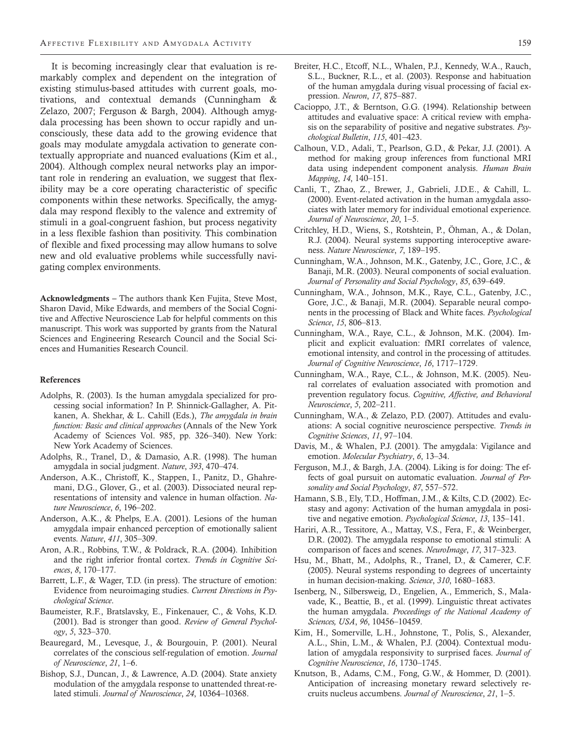It is becoming increasingly clear that evaluation is remarkably complex and dependent on the integration of existing stimulus-based attitudes with current goals, motivations, and contextual demands (Cunningham & Zelazo, 2007; Ferguson & Bargh, 2004). Although amygdala processing has been shown to occur rapidly and unconsciously, these data add to the growing evidence that goals may modulate amygdala activation to generate contextually appropriate and nuanced evaluations (Kim et al., 2004). Although complex neural networks play an important role in rendering an evaluation, we suggest that flexibility may be a core operating characteristic of specific components within these networks. Specifically, the amygdala may respond flexibly to the valence and extremity of stimuli in a goal-congruent fashion, but process negativity in a less flexible fashion than positivity. This combination of flexible and fixed processing may allow humans to solve new and old evaluative problems while successfully navigating complex environments.

Acknowledgments – The authors thank Ken Fujita, Steve Most, Sharon David, Mike Edwards, and members of the Social Cognitive and Affective Neuroscience Lab for helpful comments on this manuscript. This work was supported by grants from the Natural Sciences and Engineering Research Council and the Social Sciences and Humanities Research Council.

#### References

- Adolphs, R. (2003). Is the human amygdala specialized for processing social information? In P. Shinnick-Gallagher, A. Pitkanen, A. Shekhar, & L. Cahill (Eds.), *The amygdala in brain function: Basic and clinical approaches* (Annals of the New York Academy of Sciences Vol. 985, pp. 326–340). New York: New York Academy of Sciences.
- Adolphs, R., Tranel, D., & Damasio, A.R. (1998). The human amygdala in social judgment. *Nature*, *393*, 470–474.
- Anderson, A.K., Christoff, K., Stappen, I., Panitz, D., Ghahremani, D.G., Glover, G., et al. (2003). Dissociated neural representations of intensity and valence in human olfaction. *Nature Neuroscience*, *6*, 196–202.
- Anderson, A.K., & Phelps, E.A. (2001). Lesions of the human amygdala impair enhanced perception of emotionally salient events. *Nature*, *411*, 305–309.
- Aron, A.R., Robbins, T.W., & Poldrack, R.A. (2004). Inhibition and the right inferior frontal cortex. *Trends in Cognitive Sciences*, *8*, 170–177.
- Barrett, L.F., & Wager, T.D. (in press). The structure of emotion: Evidence from neuroimaging studies. *Current Directions in Psychological Science*.
- Baumeister, R.F., Bratslavsky, E., Finkenauer, C., & Vohs, K.D. (2001). Bad is stronger than good. *Review of General Psychology*, *5*, 323–370.
- Beauregard, M., Levesque, J., & Bourgouin, P. (2001). Neural correlates of the conscious self-regulation of emotion. *Journal of Neuroscience*, *21*, 1–6.
- Bishop, S.J., Duncan, J., & Lawrence, A.D. (2004). State anxiety modulation of the amygdala response to unattended threat-related stimuli. *Journal of Neuroscience*, *24*, 10364–10368.
- Breiter, H.C., Etcoff, N.L., Whalen, P.J., Kennedy, W.A., Rauch, S.L., Buckner, R.L., et al. (2003). Response and habituation of the human amygdala during visual processing of facial expression. *Neuron*, *17*, 875–887.
- Cacioppo, J.T., & Berntson, G.G. (1994). Relationship between attitudes and evaluative space: A critical review with emphasis on the separability of positive and negative substrates. *Psychological Bulletin*, *115*, 401–423.
- Calhoun, V.D., Adali, T., Pearlson, G.D., & Pekar, J.J. (2001). A method for making group inferences from functional MRI data using independent component analysis. *Human Brain Mapping*, *14*, 140–151.
- Canli, T., Zhao, Z., Brewer, J., Gabrieli, J.D.E., & Cahill, L. (2000). Event-related activation in the human amygdala associates with later memory for individual emotional experience. *Journal of Neuroscience*, *20*, 1–5.
- Critchley, H.D., Wiens, S., Rotshtein, P., Öhman, A., & Dolan, R.J. (2004). Neural systems supporting interoceptive awareness. *Nature Neuroscience*, *7*, 189–195.
- Cunningham, W.A., Johnson, M.K., Gatenby, J.C., Gore, J.C., & Banaji, M.R. (2003). Neural components of social evaluation. *Journal of Personality and Social Psychology*, *85*, 639–649.
- Cunningham, W.A., Johnson, M.K., Raye, C.L., Gatenby, J.C., Gore, J.C., & Banaji, M.R. (2004). Separable neural components in the processing of Black and White faces. *Psychological Science*, *15*, 806–813.
- Cunningham, W.A., Raye, C.L., & Johnson, M.K. (2004). Implicit and explicit evaluation: fMRI correlates of valence, emotional intensity, and control in the processing of attitudes. *Journal of Cognitive Neuroscience*, *16*, 1717–1729.
- Cunningham, W.A., Raye, C.L., & Johnson, M.K. (2005). Neural correlates of evaluation associated with promotion and prevention regulatory focus. *Cognitive, Affective, and Behavioral Neuroscience*, *5*, 202–211.
- Cunningham, W.A., & Zelazo, P.D. (2007). Attitudes and evaluations: A social cognitive neuroscience perspective. *Trends in Cognitive Sciences*, *11*, 97–104.
- Davis, M., & Whalen, P.J. (2001). The amygdala: Vigilance and emotion. *Molecular Psychiatry*, *6*, 13–34.
- Ferguson, M.J., & Bargh, J.A. (2004). Liking is for doing: The effects of goal pursuit on automatic evaluation. *Journal of Personality and Social Psychology*, *87*, 557–572.
- Hamann, S.B., Ely, T.D., Hoffman, J.M., & Kilts, C.D. (2002). Ecstasy and agony: Activation of the human amygdala in positive and negative emotion. *Psychological Science*, *13*, 135–141.
- Hariri, A.R., Tessitore, A., Mattay, V.S., Fera, F., & Weinberger, D.R. (2002). The amygdala response to emotional stimuli: A comparison of faces and scenes. *NeuroImage*, *17*, 317–323.
- Hsu, M., Bhatt, M., Adolphs, R., Tranel, D., & Camerer, C.F. (2005). Neural systems responding to degrees of uncertainty in human decision-making. *Science*, *310*, 1680–1683.
- Isenberg, N., Silbersweig, D., Engelien, A., Emmerich, S., Malavade, K., Beattie, B., et al. (1999). Linguistic threat activates the human amygdala. *Proceedings of the National Academy of Sciences, USA*, *96*, 10456–10459.
- Kim, H., Somerville, L.H., Johnstone, T., Polis, S., Alexander, A.L., Shin, L.M., & Whalen, P.J. (2004). Contextual modulation of amygdala responsivity to surprised faces. *Journal of Cognitive Neuroscience*, *16*, 1730–1745.
- Knutson, B., Adams, C.M., Fong, G.W., & Hommer, D. (2001). Anticipation of increasing monetary reward selectively recruits nucleus accumbens. *Journal of Neuroscience*, *21*, 1–5.